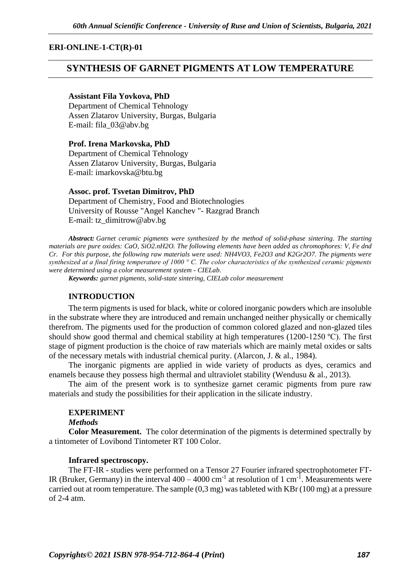## **ERI-ONLINE-1-CT(R)-01**

# **SYNTHESIS OF GARNET PIGMENTS AT LOW TEMPERATURE**

## **Assistant Fila Yovkova, PhD**

Department of Chemical Tehnology Assen Zlatarov University, Burgas, Bulgaria E-mail: fila\_03@abv.bg

**Prof. Irena Markovska, PhD** Department of Chemical Tehnology Assen Zlatarov University, Burgas, Bulgaria E-mail: [imarkovska@btu.bg](mailto:imarkovska@btu.bg)

### **Assoc. prof. Tsvetan Dimitrov, PhD**

Department of Chemistry, Food and Biotechnologies University of Rousse "Angel Kanchev "- Razgrad Branch E-mail: tz\_dimitrow@abv.bg

*Abstract: Garnet ceramic pigments were synthesized by the method of solid-phase sintering. The starting materials are pure oxides: CaO, SiO2.nH2O. The following elements have been added as chromophores: V, Fe dnd Cr. For this purpose, the following raw materials were used: NH4VO3, Fe2O3 and K2Gr2O7. The pigments were synthesized at a final firing temperature of 1000 ° C. The color characteristics of the synthesized ceramic pigments were determined using a color measurement system - CIELab.*

*Keywords: garnet pigments, solid-state sintering, CIELab color measurement*

#### **INTRODUCTION**

The term pigments is used for black, white or colored inorganic powders which are insoluble in the substrate where they are introduced and remain unchanged neither physically or chemically therefrom. The pigments used for the production of common colored glazed and non-glazed tiles should show good thermal and chemical stability at high temperatures (1200-1250 ºC). The first stage of pigment production is the choice of raw materials which are mainly metal oxides or salts of the necessary metals with industrial chemical purity. (Alarcon, J. & al., 1984).

The inorganic pigments are applied in wide variety of products as dyes, ceramics and enamels because they possess high thermal and ultraviolet stability (Wendusu & al., 2013).

The aim of the present work is to synthesize garnet ceramic pigments from pure raw materials and study the possibilities for their application in the silicate industry.

## **EXPERIMENT**

#### *Methods*

**Color Measurement.** The color determination of the pigments is determined spectrally by a tintometer of Lovibond Tintometer RT 100 Color.

### **Infrared spectroscopy.**

The FT-IR - studies were performed on a Tensor 27 Fourier infrared spectrophotometer FT-IR (Bruker, Germany) in the interval  $400 - 4000$  cm<sup>-1</sup> at resolution of 1 cm<sup>-1</sup>. Measurements were carried out at room temperature. The sample (0,3 mg) was tableted with KBr (100 mg) at a pressure of 2-4 atm.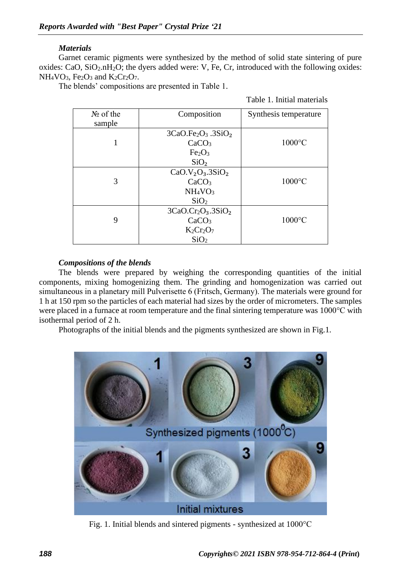# *Materials*

Garnet ceramic pigments were synthesized by the method of solid state sintering of pure oxides: CaO,  $SiO<sub>2</sub>.nH<sub>2</sub>O$ ; the dyers added were: V, Fe, Cr, introduced with the following oxides:  $NH<sub>4</sub>VO<sub>3</sub>$ , Fe<sub>2</sub>O<sub>3</sub> and K<sub>2</sub>Cr<sub>2</sub>O<sub>7</sub>.

The blends' compositions are presented in Table 1.

|  | Table 1. Initial materials |  |
|--|----------------------------|--|
|  |                            |  |

| $N_2$ of the<br>sample | Composition                                         | Synthesis temperature |
|------------------------|-----------------------------------------------------|-----------------------|
|                        | $3CaO.Fe2O3 .3SiO2$                                 |                       |
|                        | CaCO <sub>3</sub><br>Fe <sub>2</sub> O <sub>3</sub> | $1000^{\circ}$ C      |
|                        | SiO <sub>2</sub>                                    |                       |
|                        | $CaO.V2O3 .3SiO2$                                   |                       |
| 3                      | CaCO <sub>3</sub>                                   | $1000^{\circ}$ C      |
|                        | NH <sub>4</sub> VO <sub>3</sub>                     |                       |
|                        | SiO <sub>2</sub>                                    |                       |
|                        | $3CaO.Cr2O3 .3SiO2$                                 |                       |
| 9                      | CaCO <sub>3</sub>                                   | $1000^{\circ}$ C      |
|                        | $K_2Cr_2O_7$                                        |                       |
|                        | SiO <sub>2</sub>                                    |                       |

# *Compositions of the blends*

The blends were prepared by weighing the corresponding quantities of the initial components, mixing homogenizing them. The grinding and homogenization was carried out simultaneous in a planetary mill Рulverisette 6 (Fritsch, Germany). The materials were ground for 1 h at 150 rpm so the particles of each material had sizes by the order of micrometers. The samples were placed in a furnace at room temperature and the final sintering temperature was 1000°C with isothermal period of 2 h.

Photographs of the initial blends and the pigments synthesized are shown in Fig.1.



Fig. 1. Initial blends and sintered pigments - synthesized at 1000°С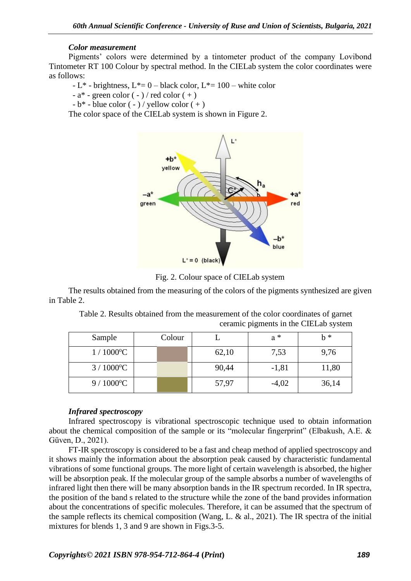## *Color measurement*

Pigments' colors were determined by a tintometer product of the company Lovibond Tintometer RT 100 Colour by spectral method. In the CIELab system the color coordinates were as follows:

- L<sup>\*</sup> - brightness, L<sup>\*</sup>= 0 – black color, L<sup>\*</sup>= 100 – white color

 $-a^*$  - green color  $(-)$  / red color  $(+)$ 

 $-b^*$  - blue color  $(-)/$  yellow color  $(+)$ 

The color space of the CIELab system is shown in Figure 2.



Fig. 2. Colour space of CIELab system

The results obtained from the measuring of the colors of the pigments synthesized are given in Table 2.

Table 2. Results obtained from the measurement of the color coordinates of garnet ceramic pigments in the CIELab system

| Sample            | Colour |       | $a^*$   | $h *$ |
|-------------------|--------|-------|---------|-------|
| $1/1000^{\circ}C$ |        | 62,10 | 7,53    | 9,76  |
| $3/1000^{\circ}C$ |        | 90,44 | $-1,81$ | 11,80 |
| $9/1000^{\circ}C$ |        | 57,97 | $-4,02$ | 36,14 |

## *Infrared spectroscopy*

Infrared spectroscopy is vibrational spectroscopic technique used to obtain information about the chemical composition of the sample or its "molecular fingerprint" (Elbakush, A.E. & Güven, D., 2021).

FT-IR spectroscopy is considered to be a fast and cheap method of applied spectroscopy and it shows mainly the information about the absorption peak caused by characteristic fundamental vibrations of some functional groups. The more light of certain wavelength is absorbed, the higher will be absorption peak. If the molecular group of the sample absorbs a number of wavelengths of infrared light then there will be many absorption bands in the IR spectrum recorded. In IR spectra, the position of the band s related to the structure while the zone of the band provides information about the concentrations of specific molecules. Therefore, it can be assumed that the spectrum of the sample reflects its chemical composition (Wang, L. & al., 2021). The IR spectra of the initial mixtures for blends 1, 3 and 9 are shown in Figs.3-5.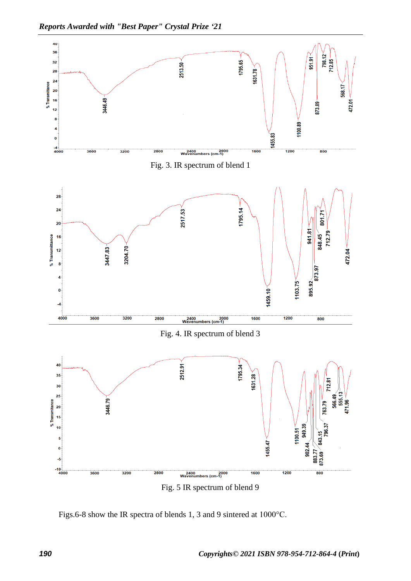

Figs.6-8 show the IR spectra of blends 1, 3 and 9 sintered at 1000°С.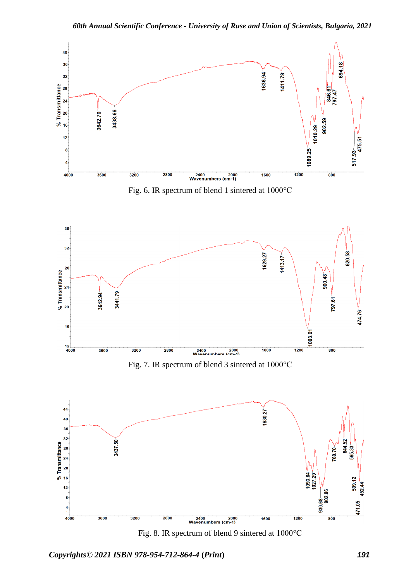

Fig. 8. IR spectrum of blend 9 sintered at 1000°С

*Copyrights© 2021 ISBN 978-954-712-864-4* **(***Print***)** *191*